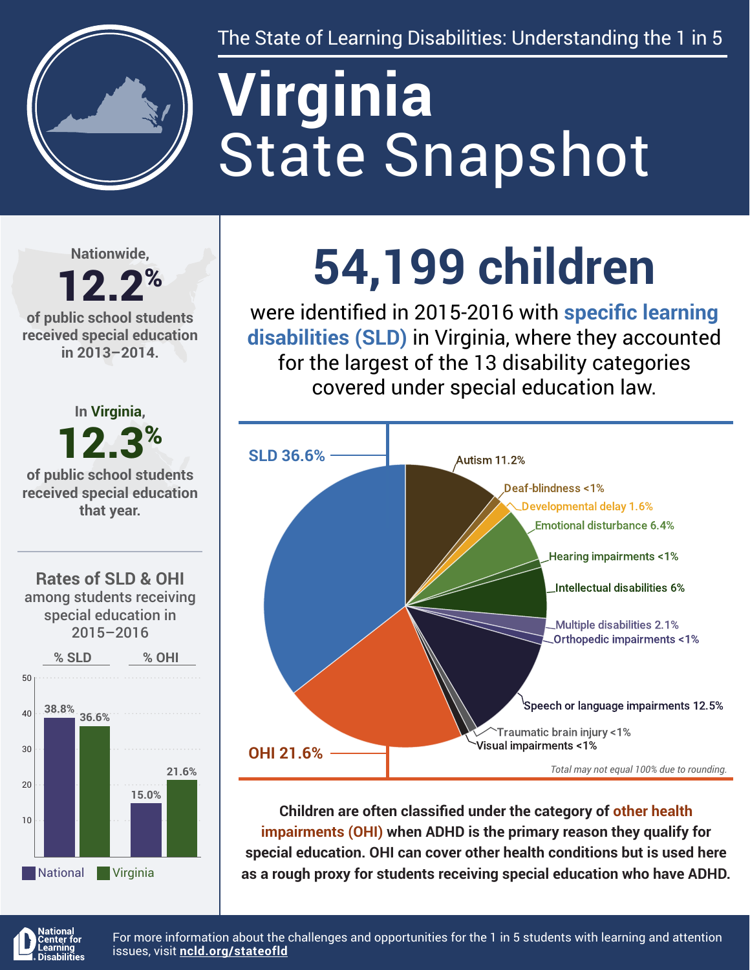

The State of Learning Disabilities: Understanding the 1 in 5

# State Snapshot **Virginia**

**Nationwide,**

#### 12.2% **of public school students received special education in 2013–2014.**



**54,199 children**

were identified in 2015-2016 with **specific learning disabilities (SLD)** in Virginia, where they accounted for the largest of the 13 disability categories covered under special education law.



**Children are often classified under the category of other health impairments (OHI) when ADHD is the primary reason they qualify for special education. OHI can cover other health conditions but is used here as a rough proxy for students receiving special education who have ADHD.**



For more information about the challenges and opportunities for the 1 in 5 students with learning and attention issues, visit **[ncld.org/stateofld](http://ncld.org/stateofld)**